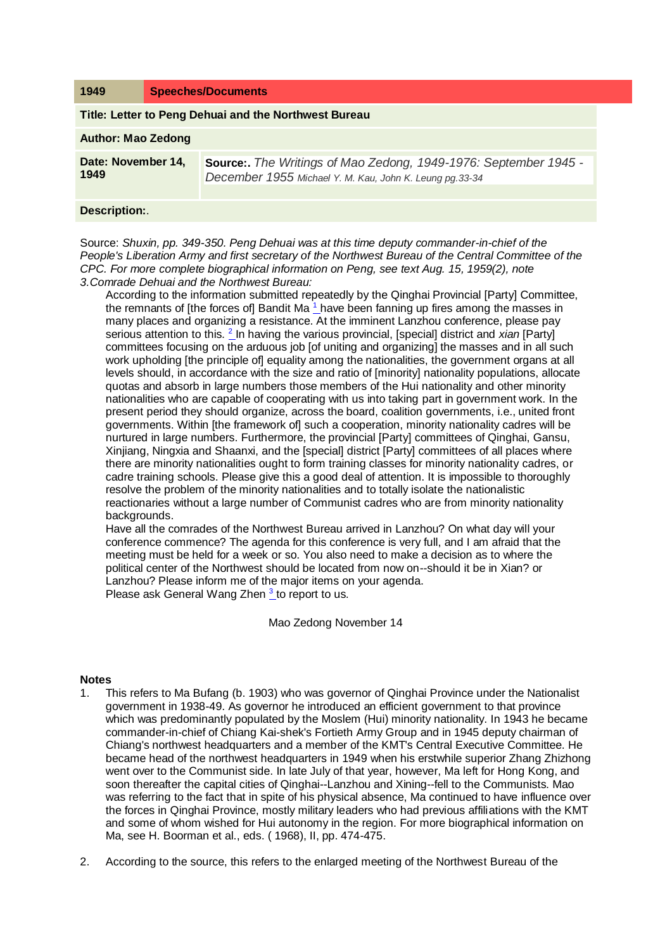| 1949                                                  | <b>Speeches/Documents</b> |                                                                                                                                   |
|-------------------------------------------------------|---------------------------|-----------------------------------------------------------------------------------------------------------------------------------|
| Title: Letter to Peng Dehuai and the Northwest Bureau |                           |                                                                                                                                   |
| <b>Author: Mao Zedong</b>                             |                           |                                                                                                                                   |
| Date: November 14,<br>1949                            |                           | <b>Source:</b> The Writings of Mao Zedong, 1949-1976: September 1945 -<br>December 1955 Michael Y. M. Kau, John K. Leung pg.33-34 |

## **Description:**.

Source: *Shuxin, pp. 349-350. Peng Dehuai was at this time deputy commander-in-chief of the People's Liberation Army and first secretary of the Northwest Bureau of the Central Committee of the CPC. For more complete biographical information on Peng, see text Aug. 15, 1959(2), note 3.Comrade Dehuai and the Northwest Bureau:* 

According to the information submitted repeatedly by the Qinghai Provincial [Party] Committee, the remnants of [the forces of] Bandit Ma<sup> $1$ </sup> have been fanning up fires among the masses in many places and organizing a resistance. At the imminent Lanzhou conference, please pay serious attention to this. <sup>[2](http://www.questia.com/PM.qst?a=o&d=99262067)</sup>\_In having the various provincial, [special] district and *xian* [Party] committees focusing on the arduous job [of uniting and organizing] the masses and in all such work upholding [the principle of] equality among the nationalities, the government organs at all levels should, in accordance with the size and ratio of [minority] nationality populations, allocate quotas and absorb in large numbers those members of the Hui nationality and other minority nationalities who are capable of cooperating with us into taking part in government work. In the present period they should organize, across the board, coalition governments, i.e., united front governments. Within [the framework of] such a cooperation, minority nationality cadres will be nurtured in large numbers. Furthermore, the provincial [Party] committees of Qinghai, Gansu, Xinjiang, Ningxia and Shaanxi, and the [special] district [Party] committees of all places where there are minority nationalities ought to form training classes for minority nationality cadres, or cadre training schools. Please give this a good deal of attention. It is impossible to thoroughly resolve the problem of the minority nationalities and to totally isolate the nationalistic reactionaries without a large number of Communist cadres who are from minority nationality backgrounds.

Have all the comrades of the Northwest Bureau arrived in Lanzhou? On what day will your conference commence? The agenda for this conference is very full, and I am afraid that the meeting must be held for a week or so. You also need to make a decision as to where the political center of the Northwest should be located from now on--should it be in Xian? or Lanzhou? Please inform me of the major items on your agenda. Please ask General Wang Zhen <sup>[3](http://www.questia.com/PM.qst?a=o&d=99262067)</sup> to report to us.

Mao Zedong November 14

## **Notes**

- 1. This refers to Ma Bufang (b. 1903) who was governor of Qinghai Province under the Nationalist government in 1938-49. As governor he introduced an efficient government to that province which was predominantly populated by the Moslem (Hui) minority nationality. In 1943 he became commander-in-chief of Chiang Kai-shek's Fortieth Army Group and in 1945 deputy chairman of Chiang's northwest headquarters and a member of the KMT's Central Executive Committee. He became head of the northwest headquarters in 1949 when his erstwhile superior Zhang Zhizhong went over to the Communist side. In late July of that year, however, Ma left for Hong Kong, and soon thereafter the capital cities of Qinghai--Lanzhou and Xining--fell to the Communists. Mao was referring to the fact that in spite of his physical absence, Ma continued to have influence over the forces in Qinghai Province, mostly military leaders who had previous affiliations with the KMT and some of whom wished for Hui autonomy in the region. For more biographical information on Ma, see H. Boorman et al., eds. ( 1968), II, pp. 474-475.
- 2. According to the source, this refers to the enlarged meeting of the Northwest Bureau of the